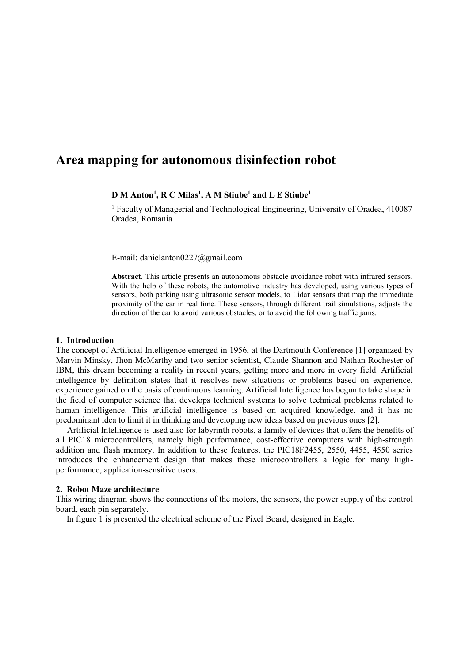# **Area mapping for autonomous disinfection robot**

# **D M Anton<sup>1</sup> , R C Milas<sup>1</sup> , A M Stiube<sup>1</sup> and L E Stiube<sup>1</sup>**

<sup>1</sup> Faculty of Managerial and Technological Engineering, University of Oradea, 410087 Oradea, Romania

E-mail: danielanton0227@gmail.com

**Abstract**. This article presents an autonomous obstacle avoidance robot with infrared sensors. With the help of these robots, the automotive industry has developed, using various types of sensors, both parking using ultrasonic sensor models, to Lidar sensors that map the immediate proximity of the car in real time. These sensors, through different trail simulations, adjusts the direction of the car to avoid various obstacles, or to avoid the following traffic jams.

#### **1. Introduction**

The concept of Artificial Intelligence emerged in 1956, at the Dartmouth Conference [1] organized by Marvin Minsky, Jhon McMarthy and two senior scientist, Claude Shannon and Nathan Rochester of IBM, this dream becoming a reality in recent years, getting more and more in every field. Artificial intelligence by definition states that it resolves new situations or problems based on experience, experience gained on the basis of continuous learning. Artificial Intelligence has begun to take shape in the field of computer science that develops technical systems to solve technical problems related to human intelligence. This artificial intelligence is based on acquired knowledge, and it has no predominant idea to limit it in thinking and developing new ideas based on previous ones [2].

Artificial Intelligence is used also for labyrinth robots, a family of devices that offers the benefits of all PIC18 microcontrollers, namely high performance, cost-effective computers with high-strength addition and flash memory. In addition to these features, the PIC18F2455, 2550, 4455, 4550 series introduces the enhancement design that makes these microcontrollers a logic for many highperformance, application-sensitive users.

#### **2. Robot Maze architecture**

This wiring diagram shows the connections of the motors, the sensors, the power supply of the control board, each pin separately.

In figure 1 is presented the electrical scheme of the Pixel Board, designed in Eagle.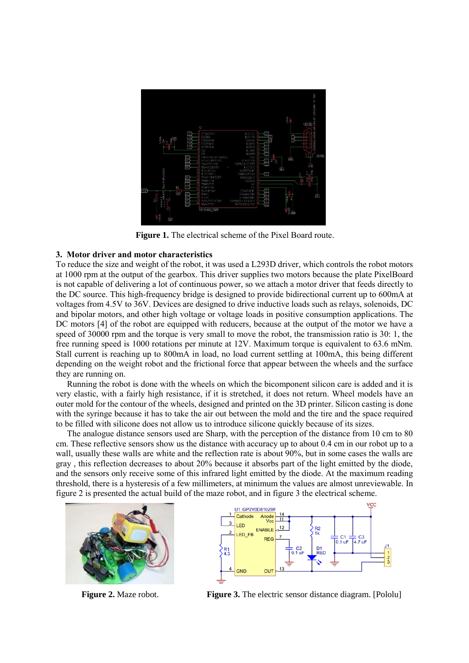

**Figure 1.** The electrical scheme of the Pixel Board route.

# **3. Motor driver and motor characteristics**

To reduce the size and weight of the robot, it was used a L293D driver, which controls the robot motors at 1000 rpm at the output of the gearbox. This driver supplies two motors because the plate PixelBoard is not capable of delivering a lot of continuous power, so we attach a motor driver that feeds directly to the DC source. This high-frequency bridge is designed to provide bidirectional current up to 600mA at voltages from 4.5V to 36V. Devices are designed to drive inductive loads such as relays, solenoids, DC and bipolar motors, and other high voltage or voltage loads in positive consumption applications. The DC motors [4] of the robot are equipped with reducers, because at the output of the motor we have a speed of 30000 rpm and the torque is very small to move the robot, the transmission ratio is 30: 1, the free running speed is 1000 rotations per minute at 12V. Maximum torque is equivalent to 63.6 mNm. Stall current is reaching up to 800mA in load, no load current settling at 100mA, this being different depending on the weight robot and the frictional force that appear between the wheels and the surface they are running on.

Running the robot is done with the wheels on which the bicomponent silicon care is added and it is very elastic, with a fairly high resistance, if it is stretched, it does not return. Wheel models have an outer mold for the contour of the wheels, designed and printed on the 3D printer. Silicon casting is done with the syringe because it has to take the air out between the mold and the tire and the space required to be filled with silicone does not allow us to introduce silicone quickly because of its sizes.

The analogue distance sensors used are Sharp, with the perception of the distance from 10 cm to 80 cm. These reflective sensors show us the distance with accuracy up to about 0.4 cm in our robot up to a wall, usually these walls are white and the reflection rate is about 90%, but in some cases the walls are gray , this reflection decreases to about 20% because it absorbs part of the light emitted by the diode, and the sensors only receive some of this infrared light emitted by the diode. At the maximum reading threshold, there is a hysteresis of a few millimeters, at minimum the values are almost unreviewable. In figure 2 is presented the actual build of the maze robot, and in figure 3 the electrical scheme.





**Figure 2.** Maze robot. **Figure 3.** The electric sensor distance diagram. [Pololu]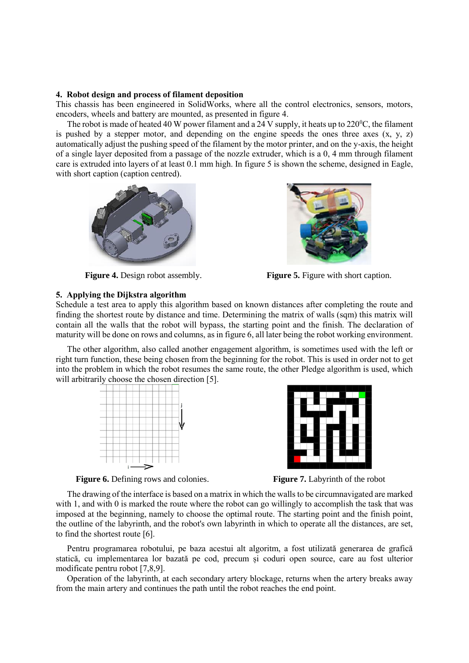### **4. Robot design and process of filament deposition**

This chassis has been engineered in SolidWorks, where all the control electronics, sensors, motors, encoders, wheels and battery are mounted, as presented in figure 4.

The robot is made of heated 40 W power filament and a 24 V supply, it heats up to  $220^{\circ}$ C, the filament is pushed by a stepper motor, and depending on the engine speeds the ones three axes  $(x, y, z)$ automatically adjust the pushing speed of the filament by the motor printer, and on the y-axis, the height of a single layer deposited from a passage of the nozzle extruder, which is a 0, 4 mm through filament care is extruded into layers of at least 0.1 mm high. In figure 5 is shown the scheme, designed in Eagle, with short caption (caption centred).





**Figure 4.** Design robot assembly. **Figure 5.** Figure with short caption.

## **5. Applying the Dijkstra algorithm**

Schedule a test area to apply this algorithm based on known distances after completing the route and finding the shortest route by distance and time. Determining the matrix of walls (sqm) this matrix will contain all the walls that the robot will bypass, the starting point and the finish. The declaration of maturity will be done on rows and columns, as in figure 6, all later being the robot working environment.

The other algorithm, also called another engagement algorithm, is sometimes used with the left or right turn function, these being chosen from the beginning for the robot. This is used in order not to get into the problem in which the robot resumes the same route, the other Pledge algorithm is used, which will arbitrarily choose the chosen direction [5].





**Figure 6.** Defining rows and colonies. **Figure 7.** Labyrinth of the robot

The drawing of the interface is based on a matrix in which the walls to be circumnavigated are marked with 1, and with 0 is marked the route where the robot can go willingly to accomplish the task that was imposed at the beginning, namely to choose the optimal route. The starting point and the finish point, the outline of the labyrinth, and the robot's own labyrinth in which to operate all the distances, are set, to find the shortest route [6].

Pentru programarea robotului, pe baza acestui alt algoritm, a fost utilizată generarea de grafică statică, cu implementarea lor bazată pe cod, precum și coduri open source, care au fost ulterior modificate pentru robot [7,8,9].

Operation of the labyrinth, at each secondary artery blockage, returns when the artery breaks away from the main artery and continues the path until the robot reaches the end point.